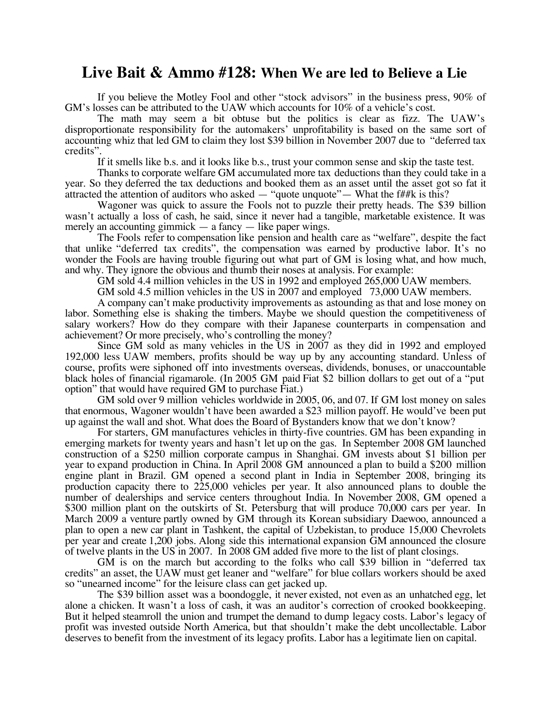## **Live Bait & Ammo #128: When We are led to Believe a Lie**

If you believe the Motley Fool and other "stock advisors" in the business press, 90% of GM's losses can be attributed to the UAW which accounts for 10% of a vehicle's cost.

The math may seem a bit obtuse but the politics is clear as fizz. The UAW's disproportionate responsibility for the automakers' unprofitability is based on the same sort of accounting whiz that led GM to claim they lost \$39 billion in November 2007 due to "deferred tax credits".

If it smells like b.s. and it looks like b.s., trust your common sense and skip the taste test.

Thanks to corporate welfare GM accumulated more tax deductions than they could take in a year. So they deferred the tax deductions and booked them as an asset until the asset got so fat it attracted the attention of auditors who asked  $-$  "quote unquote"  $-$  What the f##k is this?

Wagoner was quick to assure the Fools not to puzzle their pretty heads. The \$39 billion wasn't actually a loss of cash, he said, since it never had a tangible, marketable existence. It was merely an accounting gimmick — a fancy — like paper wings.

The Fools refer to compensation like pension and health care as "welfare", despite the fact that unlike "deferred tax credits", the compensation was earned by productive labor. It's no wonder the Fools are having trouble figuring out what part of GM is losing what, and how much, and why. They ignore the obvious and thumb their noses at analysis. For example:

GM sold 4.4 million vehicles in the US in 1992 and employed 265,000 UAW members.

GM sold 4.5 million vehicles in the US in 2007 and employed 73,000 UAW members.

A company can't make productivity improvements as astounding as that and lose money on labor. Something else is shaking the timbers. Maybe we should question the competitiveness of salary workers? How do they compare with their Japanese counterparts in compensation and achievement? Or more precisely, who's controlling the money?

Since GM sold as many vehicles in the US in 2007 as they did in 1992 and employed 192,000 less UAW members, profits should be way up by any accounting standard. Unless of course, profits were siphoned off into investments overseas, dividends, bonuses, or unaccountable black holes of financial rigamarole. (In 2005 GM paid Fiat \$2 billion dollars to get out of a "put option" that would have required GM to purchase Fiat.)

GM sold over 9 million vehicles worldwide in 2005, 06, and 07. If GM lost money on sales that enormous, Wagoner wouldn't have been awarded a \$23 million payoff. He would've been put up against the wall and shot. What does the Board of Bystanders know that we don't know?

For starters, GM manufactures vehicles in thirty-five countries. GM has been expanding in emerging markets for twenty years and hasn't let up on the gas. In September 2008 GM launched construction of a \$250 million corporate campus in Shanghai. GM invests about \$1 billion per year to expand production in China. In April 2008 GM announced a plan to build a \$200 million engine plant in Brazil. GM opened a second plant in India in September 2008, bringing its production capacity there to 225,000 vehicles per year. It also announced plans to double the number of dealerships and service centers throughout India. In November 2008, GM opened a \$300 million plant on the outskirts of St. Petersburg that will produce 70,000 cars per year. In March 2009 a venture partly owned by GM through its Korean subsidiary Daewoo, announced a plan to open a new car plant in Tashkent, the capital of Uzbekistan, to produce 15,000 Chevrolets per year and create 1,200 jobs. Along side this international expansion GM announced the closure of twelve plants in the US in 2007. In 2008 GM added five more to the list of plant closings.

GM is on the march but according to the folks who call \$39 billion in "deferred tax credits" an asset, the UAW must get leaner and "welfare" for blue collars workers should be axed so "unearned income" for the leisure class can get jacked up.

The \$39 billion asset was a boondoggle, it never existed, not even as an unhatched egg, let alone a chicken. It wasn't a loss of cash, it was an auditor's correction of crooked bookkeeping. But it helped steamroll the union and trumpet the demand to dump legacy costs. Labor's legacy of profit was invested outside North America, but that shouldn't make the debt uncollectable. Labor deserves to benefit from the investment of its legacy profits. Labor has a legitimate lien on capital.